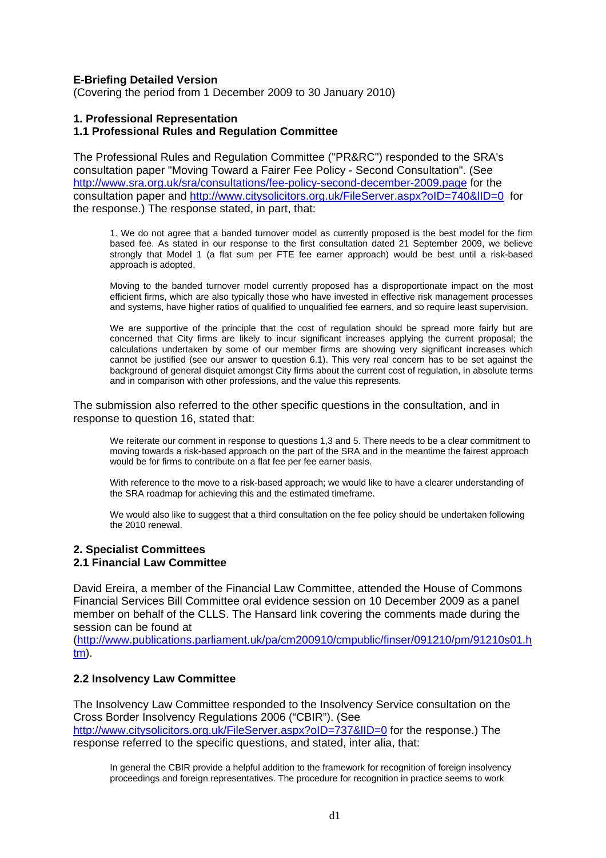# **E-Briefing Detailed Version**

(Covering the period from 1 December 2009 to 30 January 2010)

# **1. Professional Representation**

### **1.1 Professional Rules and Regulation Committee**

The Professional Rules and Regulation Committee ("PR&RC") responded to the SRA's consultation paper "Moving Toward a Fairer Fee Policy - Second Consultation". (See <http://www.sra.org.uk/sra/consultations/fee-policy-second-december-2009.page>for the consultation paper and http://www.citysolicitors.org.uk/FileServer.aspx?oID=740&IID=0 for the response.) The response stated, in part, that:

1. We do not agree that a banded turnover model as currently proposed is the best model for the firm based fee. As stated in our response to the first consultation dated 21 September 2009, we believe strongly that Model 1 (a flat sum per FTE fee earner approach) would be best until a risk-based approach is adopted.

Moving to the banded turnover model currently proposed has a disproportionate impact on the most efficient firms, which are also typically those who have invested in effective risk management processes and systems, have higher ratios of qualified to unqualified fee earners, and so require least supervision.

We are supportive of the principle that the cost of regulation should be spread more fairly but are concerned that City firms are likely to incur significant increases applying the current proposal; the calculations undertaken by some of our member firms are showing very significant increases which cannot be justified (see our answer to question 6.1). This very real concern has to be set against the background of general disquiet amongst City firms about the current cost of regulation, in absolute terms and in comparison with other professions, and the value this represents.

The submission also referred to the other specific questions in the consultation, and in response to question 16, stated that:

We reiterate our comment in response to questions 1,3 and 5. There needs to be a clear commitment to moving towards a risk-based approach on the part of the SRA and in the meantime the fairest approach would be for firms to contribute on a flat fee per fee earner basis.

With reference to the move to a risk-based approach; we would like to have a clearer understanding of the SRA roadmap for achieving this and the estimated timeframe.

We would also like to suggest that a third consultation on the fee policy should be undertaken following the 2010 renewal.

#### **2. Specialist Committees 2.1 Financial Law Committee**

David Ereira, a member of the Financial Law Committee, attended the House of Commons Financial Services Bill Committee oral evidence session on 10 December 2009 as a panel member on behalf of the CLLS. The Hansard link covering the comments made during the session can be found at

([http://www.publications.parliament.uk/pa/cm200910/cmpublic/finser/091210/pm/91210s01.h](http://www.publications.parliament.uk/pa/cm200910/cmpublic/finser/091210/pm/91210s01.htm) [tm](http://www.publications.parliament.uk/pa/cm200910/cmpublic/finser/091210/pm/91210s01.htm)).

# **2.2 Insolvency Law Committee**

The Insolvency Law Committee responded to the Insolvency Service consultation on the Cross Border Insolvency Regulations 2006 ("CBIR"). (See

<http://www.citysolicitors.org.uk/FileServer.aspx?oID=737&lID=0> for the response.) The response referred to the specific questions, and stated, inter alia, that:

In general the CBIR provide a helpful addition to the framework for recognition of foreign insolvency proceedings and foreign representatives. The procedure for recognition in practice seems to work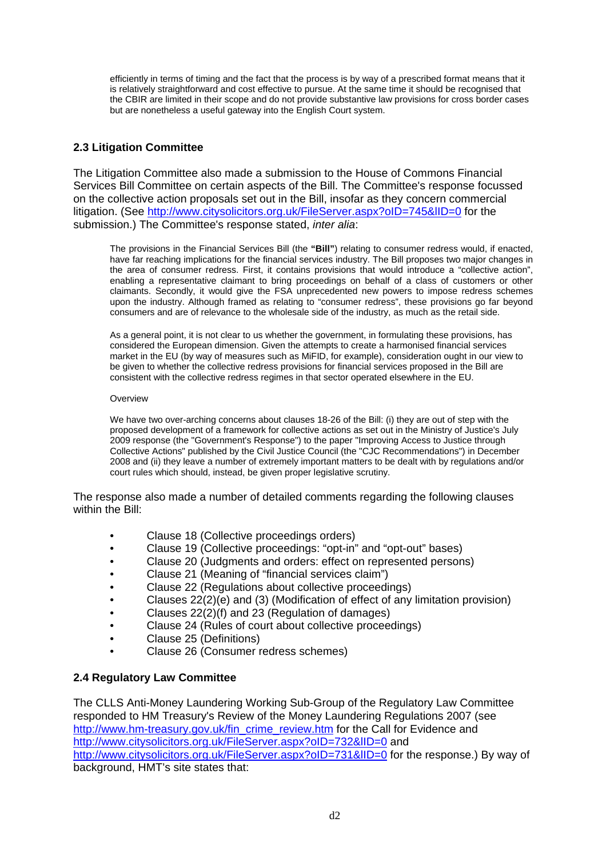efficiently in terms of timing and the fact that the process is by way of a prescribed format means that it is relatively straightforward and cost effective to pursue. At the same time it should be recognised that the CBIR are limited in their scope and do not provide substantive law provisions for cross border cases but are nonetheless a useful gateway into the English Court system.

# **2.3 Litigation Committee**

The Litigation Committee also made a submission to the House of Commons Financial Services Bill Committee on certain aspects of the Bill. The Committee's response focussed on the collective action proposals set out in the Bill, insofar as they concern commercial litigation. (See <http://www.citysolicitors.org.uk/FileServer.aspx?oID=745&lID=0> for the submission.) The Committee's response stated, *inter alia*:

The provisions in the Financial Services Bill (the **"Bill"**) relating to consumer redress would, if enacted, have far reaching implications for the financial services industry. The Bill proposes two major changes in the area of consumer redress. First, it contains provisions that would introduce a "collective action", enabling a representative claimant to bring proceedings on behalf of a class of customers or other claimants. Secondly, it would give the FSA unprecedented new powers to impose redress schemes upon the industry. Although framed as relating to "consumer redress", these provisions go far beyond consumers and are of relevance to the wholesale side of the industry, as much as the retail side.

As a general point, it is not clear to us whether the government, in formulating these provisions, has considered the European dimension. Given the attempts to create a harmonised financial services market in the EU (by way of measures such as MiFID, for example), consideration ought in our view to be given to whether the collective redress provisions for financial services proposed in the Bill are consistent with the collective redress regimes in that sector operated elsewhere in the EU.

### **Overview**

We have two over-arching concerns about clauses 18-26 of the Bill: (i) they are out of step with the proposed development of a framework for collective actions as set out in the Ministry of Justice's July 2009 response (the "Government's Response") to the paper "Improving Access to Justice through Collective Actions" published by the Civil Justice Council (the "CJC Recommendations") in December 2008 and (ii) they leave a number of extremely important matters to be dealt with by regulations and/or court rules which should, instead, be given proper legislative scrutiny.

The response also made a number of detailed comments regarding the following clauses within the Bill:

- Clause 18 (Collective proceedings orders)
- Clause 19 (Collective proceedings: "opt-in" and "opt-out" bases)
- Clause 20 (Judgments and orders: effect on represented persons)
- Clause 21 (Meaning of "financial services claim")
- Clause 22 (Regulations about collective proceedings)
- Clauses 22(2)(e) and (3) (Modification of effect of any limitation provision)
- Clauses 22(2)(f) and 23 (Regulation of damages)
- Clause 24 (Rules of court about collective proceedings)
- Clause 25 (Definitions)
- Clause 26 (Consumer redress schemes)

# **2.4 Regulatory Law Committee**

The CLLS Anti-Money Laundering Working Sub-Group of the Regulatory Law Committee responded to HM Treasury's Review of the Money Laundering Regulations 2007 (see [http://www.hm-treasury.gov.uk/fin\\_crime\\_review.htm](http://www.hm-treasury.gov.uk/fin_crime_review.htm) for the Call for Evidence and http://www.citysolicitors.org.uk/FileServer.aspx?oID=732&IID=0 and http://www.citysolicitors.org.uk/FileServer.aspx?oID=731&IID=0 for the response.) By way of background, HMT's site states that: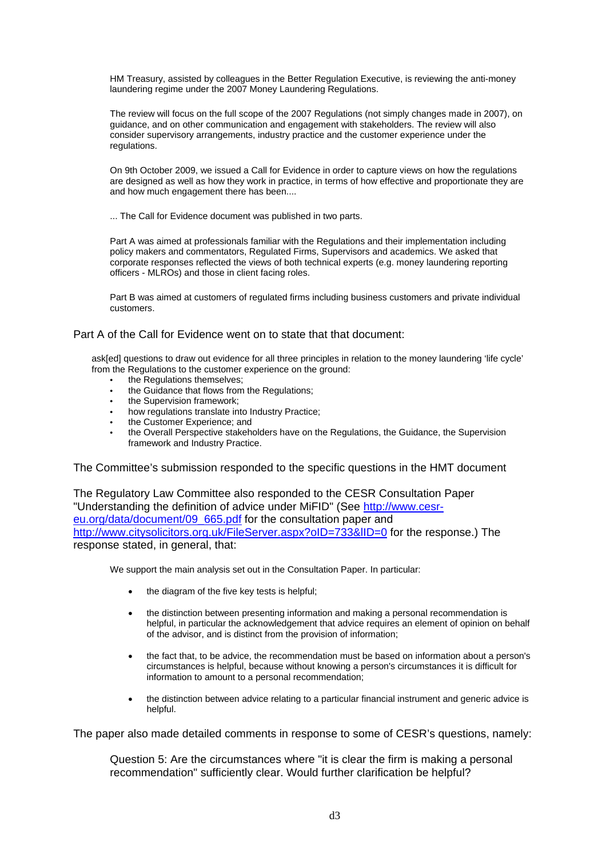HM Treasury, assisted by colleagues in the Better Regulation Executive, is reviewing the anti-money laundering regime under the 2007 Money Laundering Regulations.

The review will focus on the full scope of the 2007 Regulations (not simply changes made in 2007), on guidance, and on other communication and engagement with stakeholders. The review will also consider supervisory arrangements, industry practice and the customer experience under the regulations.

On 9th October 2009, we issued a Call for Evidence in order to capture views on how the regulations are designed as well as how they work in practice, in terms of how effective and proportionate they are and how much engagement there has been....

... The Call for Evidence document was published in two parts.

Part A was aimed at professionals familiar with the Regulations and their implementation including policy makers and commentators, Regulated Firms, Supervisors and academics. We asked that corporate responses reflected the views of both technical experts (e.g. money laundering reporting officers - MLROs) and those in client facing roles.

Part B was aimed at customers of regulated firms including business customers and private individual customers.

# Part A of the Call for Evidence went on to state that that document:

ask[ed] questions to draw out evidence for all three principles in relation to the money laundering 'life cycle' from the Regulations to the customer experience on the ground:

- the Regulations themselves:
- the Guidance that flows from the Regulations;
- the Supervision framework:
- how regulations translate into Industry Practice;
- the Customer Experience; and
- the Overall Perspective stakeholders have on the Regulations, the Guidance, the Supervision framework and Industry Practice.

The Committee's submission responded to the specific questions in the HMT document

The Regulatory Law Committee also responded to the CESR Consultation Paper "Understanding the definition of advice under MiFID" (See [http://www.cesr](http://www.cesr-eu.org/data/document/09_665.pdf)[eu.org/data/document/09\\_665.pdf](http://www.cesr-eu.org/data/document/09_665.pdf) for the consultation paper and http://www.citysolicitors.org.uk/FileServer.aspx?oID=733&IID=0 for the response.) The response stated, in general, that:

We support the main analysis set out in the Consultation Paper. In particular:

- the diagram of the five key tests is helpful;
- the distinction between presenting information and making a personal recommendation is helpful, in particular the acknowledgement that advice requires an element of opinion on behalf of the advisor, and is distinct from the provision of information;
- the fact that, to be advice, the recommendation must be based on information about a person's circumstances is helpful, because without knowing a person's circumstances it is difficult for information to amount to a personal recommendation;
- the distinction between advice relating to a particular financial instrument and generic advice is helpful.

The paper also made detailed comments in response to some of CESR's questions, namely:

Question 5: Are the circumstances where "it is clear the firm is making a personal recommendation" sufficiently clear. Would further clarification be helpful?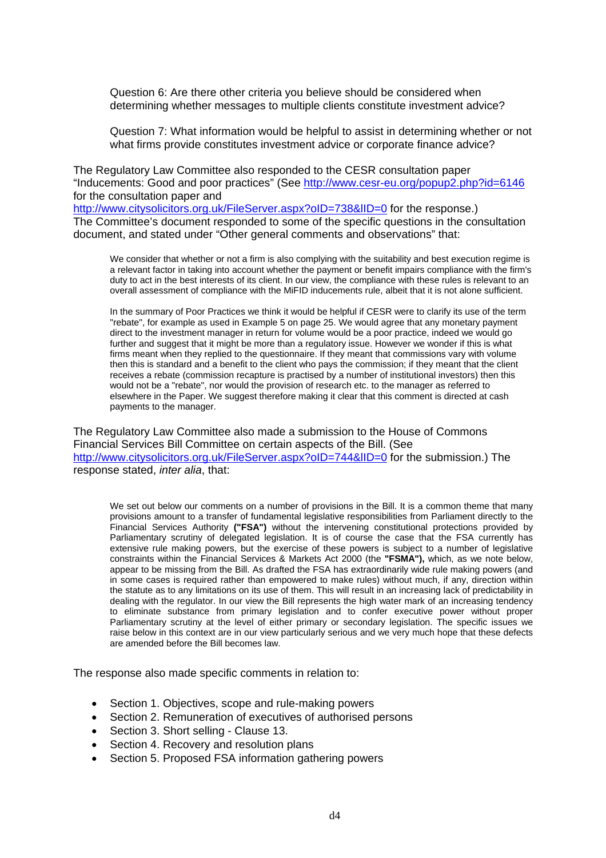Question 6: Are there other criteria you believe should be considered when determining whether messages to multiple clients constitute investment advice?

Question 7: What information would be helpful to assist in determining whether or not what firms provide constitutes investment advice or corporate finance advice?

The Regulatory Law Committee also responded to the CESR consultation paper "Inducements: Good and poor practices" (See<http://www.cesr-eu.org/popup2.php?id=6146> for the consultation paper and

http://www.citysolicitors.org.uk/FileServer.aspx?oID=738&IID=0 for the response.) The Committee's document responded to some of the specific questions in the consultation document, and stated under "Other general comments and observations" that:

We consider that whether or not a firm is also complying with the suitability and best execution regime is a relevant factor in taking into account whether the payment or benefit impairs compliance with the firm's duty to act in the best interests of its client. In our view, the compliance with these rules is relevant to an overall assessment of compliance with the MiFID inducements rule, albeit that it is not alone sufficient.

In the summary of Poor Practices we think it would be helpful if CESR were to clarify its use of the term "rebate", for example as used in Example 5 on page 25. We would agree that any monetary payment direct to the investment manager in return for volume would be a poor practice, indeed we would go further and suggest that it might be more than a regulatory issue. However we wonder if this is what firms meant when they replied to the questionnaire. If they meant that commissions vary with volume then this is standard and a benefit to the client who pays the commission; if they meant that the client receives a rebate (commission recapture is practised by a number of institutional investors) then this would not be a "rebate", nor would the provision of research etc. to the manager as referred to elsewhere in the Paper. We suggest therefore making it clear that this comment is directed at cash payments to the manager.

The Regulatory Law Committee also made a submission to the House of Commons Financial Services Bill Committee on certain aspects of the Bill. (See http://www.citysolicitors.org.uk/FileServer.aspx?oID=744&IID=0 for the submission.) The response stated, *inter alia*, that:

We set out below our comments on a number of provisions in the Bill. It is a common theme that many provisions amount to a transfer of fundamental legislative responsibilities from Parliament directly to the Financial Services Authority **("FSA")** without the intervening constitutional protections provided by Parliamentary scrutiny of delegated legislation. It is of course the case that the FSA currently has extensive rule making powers, but the exercise of these powers is subject to a number of legislative constraints within the Financial Services & Markets Act 2000 (the **"FSMA"),** which, as we note below, appear to be missing from the Bill. As drafted the FSA has extraordinarily wide rule making powers (and in some cases is required rather than empowered to make rules) without much, if any, direction within the statute as to any limitations on its use of them. This will result in an increasing lack of predictability in dealing with the regulator. In our view the Bill represents the high water mark of an increasing tendency to eliminate substance from primary legislation and to confer executive power without proper Parliamentary scrutiny at the level of either primary or secondary legislation. The specific issues we raise below in this context are in our view particularly serious and we very much hope that these defects are amended before the Bill becomes law.

The response also made specific comments in relation to:

- Section 1. Objectives, scope and rule-making powers
- Section 2. Remuneration of executives of authorised persons
- Section 3. Short selling Clause 13.
- Section 4. Recovery and resolution plans
- Section 5. Proposed FSA information gathering powers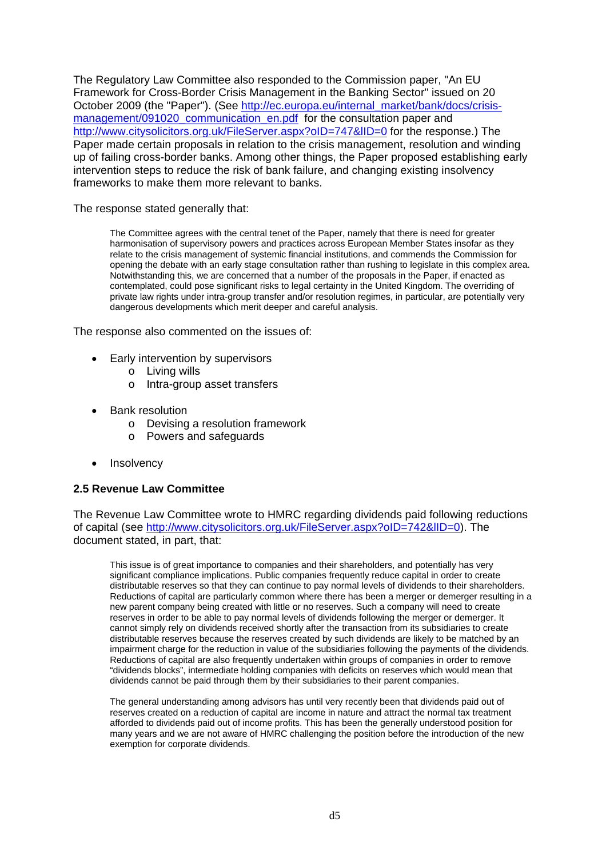The Regulatory Law Committee also responded to the Commission paper, "An EU Framework for Cross-Border Crisis Management in the Banking Sector" issued on 20 October 2009 (the "Paper"). (See [http://ec.europa.eu/internal\\_market/bank/docs/crisis](http://ec.europa.eu/internal_market/bank/docs/crisis-management/091020_communication_en.pdf)[management/091020\\_communication\\_en.pdf](http://ec.europa.eu/internal_market/bank/docs/crisis-management/091020_communication_en.pdf) for the consultation paper and http://www.citysolicitors.org.uk/FileServer.aspx?oID=747&IID=0 for the response.) The Paper made certain proposals in relation to the crisis management, resolution and winding up of failing cross-border banks. Among other things, the Paper proposed establishing early intervention steps to reduce the risk of bank failure, and changing existing insolvency frameworks to make them more relevant to banks.

The response stated generally that:

The Committee agrees with the central tenet of the Paper, namely that there is need for greater harmonisation of supervisory powers and practices across European Member States insofar as they relate to the crisis management of systemic financial institutions, and commends the Commission for opening the debate with an early stage consultation rather than rushing to legislate in this complex area. Notwithstanding this, we are concerned that a number of the proposals in the Paper, if enacted as contemplated, could pose significant risks to legal certainty in the United Kingdom. The overriding of private law rights under intra-group transfer and/or resolution regimes, in particular, are potentially very dangerous developments which merit deeper and careful analysis.

The response also commented on the issues of:

- Early intervention by supervisors
	- o Living wills
	- o Intra-group asset transfers
- Bank resolution
	- o Devising a resolution framework
	- o Powers and safeguards
- **Insolvency**

# **2.5 Revenue Law Committee**

The Revenue Law Committee wrote to HMRC regarding dividends paid following reductions of capital (see [http://www.citysolicitors.org.uk/FileServer.aspx?oID=742&lID=0\)](http://www.citysolicitors.org.uk/FileServer.aspx?oID=742&lID=0). The document stated, in part, that:

This issue is of great importance to companies and their shareholders, and potentially has very significant compliance implications. Public companies frequently reduce capital in order to create distributable reserves so that they can continue to pay normal levels of dividends to their shareholders. Reductions of capital are particularly common where there has been a merger or demerger resulting in a new parent company being created with little or no reserves. Such a company will need to create reserves in order to be able to pay normal levels of dividends following the merger or demerger. It cannot simply rely on dividends received shortly after the transaction from its subsidiaries to create distributable reserves because the reserves created by such dividends are likely to be matched by an impairment charge for the reduction in value of the subsidiaries following the payments of the dividends. Reductions of capital are also frequently undertaken within groups of companies in order to remove "dividends blocks", intermediate holding companies with deficits on reserves which would mean that dividends cannot be paid through them by their subsidiaries to their parent companies.

The general understanding among advisors has until very recently been that dividends paid out of reserves created on a reduction of capital are income in nature and attract the normal tax treatment afforded to dividends paid out of income profits. This has been the generally understood position for many years and we are not aware of HMRC challenging the position before the introduction of the new exemption for corporate dividends.